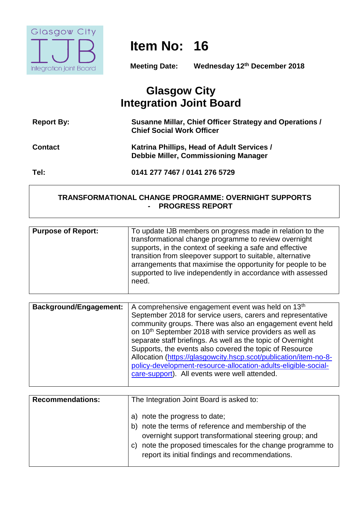

# **Item No: 16**

**Meeting Date: Wednesday 12th December 2018**

# **Glasgow City Integration Joint Board**

| <b>Report By:</b> | Susanne Millar, Chief Officer Strategy and Operations /<br><b>Chief Social Work Officer</b> |
|-------------------|---------------------------------------------------------------------------------------------|
| <b>Contact</b>    | Katrina Phillips, Head of Adult Services /<br><b>Debbie Miller, Commissioning Manager</b>   |
| Tel:              | 0141 277 7467 / 0141 276 5729                                                               |

#### **TRANSFORMATIONAL CHANGE PROGRAMME: OVERNIGHT SUPPORTS - PROGRESS REPORT**

| <b>Purpose of Report:</b><br>To update IJB members on progress made in relation to the<br>transformational change programme to review overnight<br>supports, in the context of seeking a safe and effective<br>transition from sleepover support to suitable, alternative<br>arrangements that maximise the opportunity for people to be<br>supported to live independently in accordance with assessed<br>need. |  |
|------------------------------------------------------------------------------------------------------------------------------------------------------------------------------------------------------------------------------------------------------------------------------------------------------------------------------------------------------------------------------------------------------------------|--|
|                                                                                                                                                                                                                                                                                                                                                                                                                  |  |

| <b>Background/Engagement:</b> | A comprehensive engagement event was held on 13 <sup>th</sup><br>September 2018 for service users, carers and representative<br>community groups. There was also an engagement event held<br>on 10 <sup>th</sup> September 2018 with service providers as well as<br>separate staff briefings. As well as the topic of Overnight<br>Supports, the events also covered the topic of Resource<br>Allocation (https://glasgowcity.hscp.scot/publication/item-no-8-<br>policy-development-resource-allocation-adults-eligible-social- |
|-------------------------------|-----------------------------------------------------------------------------------------------------------------------------------------------------------------------------------------------------------------------------------------------------------------------------------------------------------------------------------------------------------------------------------------------------------------------------------------------------------------------------------------------------------------------------------|
|                               | care-support). All events were well attended.                                                                                                                                                                                                                                                                                                                                                                                                                                                                                     |
|                               |                                                                                                                                                                                                                                                                                                                                                                                                                                                                                                                                   |

| <b>Recommendations:</b> | The Integration Joint Board is asked to:                                                                                                                                                                                                                              |
|-------------------------|-----------------------------------------------------------------------------------------------------------------------------------------------------------------------------------------------------------------------------------------------------------------------|
|                         | note the progress to date;<br>note the terms of reference and membership of the<br>b)<br>overnight support transformational steering group; and<br>note the proposed timescales for the change programme to<br>C)<br>report its initial findings and recommendations. |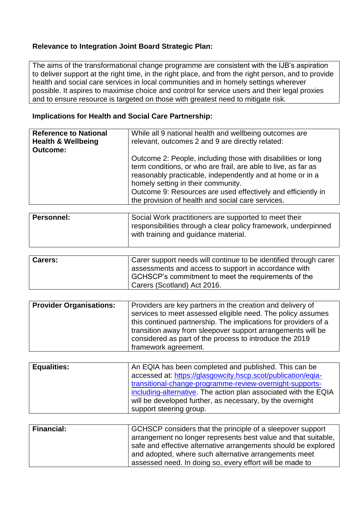# **Relevance to Integration Joint Board Strategic Plan:**

The aims of the transformational change programme are consistent with the IJB's aspiration to deliver support at the right time, in the right place, and from the right person, and to provide health and social care services in local communities and in homely settings wherever possible. It aspires to maximise choice and control for service users and their legal proxies and to ensure resource is targeted on those with greatest need to mitigate risk.

#### **Implications for Health and Social Care Partnership:**

| <b>Reference to National</b><br><b>Health &amp; Wellbeing</b><br><b>Outcome:</b> | While all 9 national health and wellbeing outcomes are<br>relevant, outcomes 2 and 9 are directly related:                                                                                                                                                                                                                                             |
|----------------------------------------------------------------------------------|--------------------------------------------------------------------------------------------------------------------------------------------------------------------------------------------------------------------------------------------------------------------------------------------------------------------------------------------------------|
|                                                                                  | Outcome 2: People, including those with disabilities or long<br>term conditions, or who are frail, are able to live, as far as<br>reasonably practicable, independently and at home or in a<br>homely setting in their community.<br>Outcome 9: Resources are used effectively and efficiently in<br>the provision of health and social care services. |

| <b>Personnel:</b> | Social Work practitioners are supported to meet their                                                  |
|-------------------|--------------------------------------------------------------------------------------------------------|
|                   | responsibilities through a clear policy framework, underpinned<br>with training and guidance material. |
|                   |                                                                                                        |

| <b>Carers:</b> | Carer support needs will continue to be identified through carer |
|----------------|------------------------------------------------------------------|
|                | assessments and access to support in accordance with             |
|                | GCHSCP's commitment to meet the requirements of the              |
|                | Carers (Scotland) Act 2016.                                      |

| <b>Provider Organisations:</b> | Providers are key partners in the creation and delivery of<br>services to meet assessed eligible need. The policy assumes<br>this continued partnership. The implications for providers of a<br>transition away from sleepover support arrangements will be<br>considered as part of the process to introduce the 2019<br>framework agreement. |
|--------------------------------|------------------------------------------------------------------------------------------------------------------------------------------------------------------------------------------------------------------------------------------------------------------------------------------------------------------------------------------------|
|                                |                                                                                                                                                                                                                                                                                                                                                |

| <b>Equalities:</b> | An EQIA has been completed and published. This can be<br>accessed at: https://glasgowcity.hscp.scot/publication/eqia-<br>transitional-change-programme-review-overnight-supports-<br>including-alternative. The action plan associated with the EQIA |
|--------------------|------------------------------------------------------------------------------------------------------------------------------------------------------------------------------------------------------------------------------------------------------|
|                    | will be developed further, as necessary, by the overnight                                                                                                                                                                                            |
|                    | support steering group.                                                                                                                                                                                                                              |

| <b>Financial:</b> | GCHSCP considers that the principle of a sleepover support     |
|-------------------|----------------------------------------------------------------|
|                   | arrangement no longer represents best value and that suitable, |
|                   | safe and effective alternative arrangements should be explored |
|                   | and adopted, where such alternative arrangements meet          |
|                   | assessed need. In doing so, every effort will be made to       |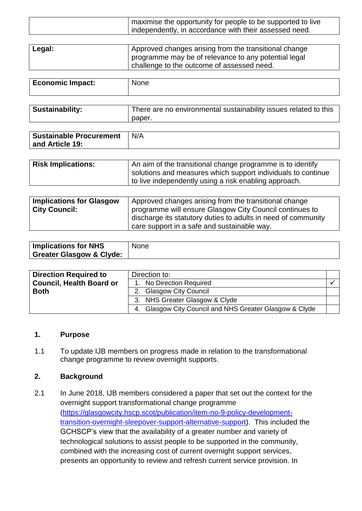| maximise the opportunity for people to be supported to live |
|-------------------------------------------------------------|
| I independently, in accordance with their assessed need.    |
|                                                             |

| Legal: | Approved changes arising from the transitional change |
|--------|-------------------------------------------------------|
|        | programme may be of relevance to any potential legal  |
|        | challenge to the outcome of assessed need.            |

| <b>Economic Impact:</b> | None                                                             |
|-------------------------|------------------------------------------------------------------|
|                         |                                                                  |
| <b>Sustainability:</b>  | There are no environmental sustainability issues related to this |

| <b>Sustainable Procurement</b> | N/A |
|--------------------------------|-----|
| and Article 19:                |     |

paper.

| <b>Risk Implications:</b> | An aim of the transitional change programme is to identify                                                            |
|---------------------------|-----------------------------------------------------------------------------------------------------------------------|
|                           | solutions and measures which support individuals to continue<br>to live independently using a risk enabling approach. |
|                           |                                                                                                                       |

| <b>Implications for Glasgow</b> | Approved changes arising from the transitional change         |
|---------------------------------|---------------------------------------------------------------|
| <b>City Council:</b>            | programme will ensure Glasgow City Council continues to       |
|                                 | discharge its statutory duties to adults in need of community |
|                                 | care support in a safe and sustainable way.                   |

| <b>Implications for NHS</b>         | None |
|-------------------------------------|------|
| <b>Greater Glasgow &amp; Clyde:</b> |      |

| <b>Direction Required to</b>    | Direction to:                                           |  |
|---------------------------------|---------------------------------------------------------|--|
| <b>Council, Health Board or</b> | 1. No Direction Required                                |  |
| <b>Both</b>                     | 2. Glasgow City Council                                 |  |
|                                 | 3. NHS Greater Glasgow & Clyde                          |  |
|                                 | 4. Glasgow City Council and NHS Greater Glasgow & Clyde |  |

#### **1. Purpose**

1.1 To update IJB members on progress made in relation to the transformational change programme to review overnight supports.

#### **2. Background**

2.1 In June 2018, IJB members considered a paper that set out the context for the overnight support transformational change programme [\(https://glasgowcity.hscp.scot/publication/item-no-9-policy-development](https://glasgowcity.hscp.scot/publication/item-no-9-policy-development-transition-overnight-sleepover-support-alternative-support)[transition-overnight-sleepover-support-alternative-support\)](https://glasgowcity.hscp.scot/publication/item-no-9-policy-development-transition-overnight-sleepover-support-alternative-support). This included the GCHSCP's view that the availability of a greater number and variety of technological solutions to assist people to be supported in the community, combined with the increasing cost of current overnight support services, presents an opportunity to review and refresh current service provision. In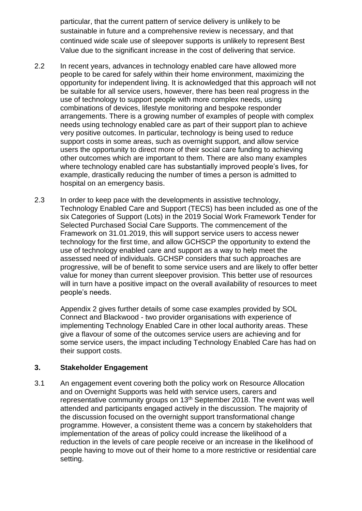particular, that the current pattern of service delivery is unlikely to be sustainable in future and a comprehensive review is necessary, and that continued wide scale use of sleepover supports is unlikely to represent Best Value due to the significant increase in the cost of delivering that service.

- 2.2 In recent years, advances in technology enabled care have allowed more people to be cared for safely within their home environment, maximizing the opportunity for independent living. It is acknowledged that this approach will not be suitable for all service users, however, there has been real progress in the use of technology to support people with more complex needs, using combinations of devices, lifestyle monitoring and bespoke responder arrangements. There is a growing number of examples of people with complex needs using technology enabled care as part of their support plan to achieve very positive outcomes. In particular, technology is being used to reduce support costs in some areas, such as overnight support, and allow service users the opportunity to direct more of their social care funding to achieving other outcomes which are important to them. There are also many examples where technology enabled care has substantially improved people's lives, for example, drastically reducing the number of times a person is admitted to hospital on an emergency basis.
- 2.3 In order to keep pace with the developments in assistive technology, Technology Enabled Care and Support (TECS) has been included as one of the six Categories of Support (Lots) in the 2019 Social Work Framework Tender for Selected Purchased Social Care Supports. The commencement of the Framework on 31.01.2019, this will support service users to access newer technology for the first time, and allow GCHSCP the opportunity to extend the use of technology enabled care and support as a way to help meet the assessed need of individuals. GCHSP considers that such approaches are progressive, will be of benefit to some service users and are likely to offer better value for money than current sleepover provision. This better use of resources will in turn have a positive impact on the overall availability of resources to meet people's needs.

Appendix 2 gives further details of some case examples provided by SOL Connect and Blackwood - two provider organisations with experience of implementing Technology Enabled Care in other local authority areas. These give a flavour of some of the outcomes service users are achieving and for some service users, the impact including Technology Enabled Care has had on their support costs.

## **3. Stakeholder Engagement**

3.1 An engagement event covering both the policy work on Resource Allocation and on Overnight Supports was held with service users, carers and representative community groups on 13<sup>th</sup> September 2018. The event was well attended and participants engaged actively in the discussion. The majority of the discussion focused on the overnight support transformational change programme. However, a consistent theme was a concern by stakeholders that implementation of the areas of policy could increase the likelihood of a reduction in the levels of care people receive or an increase in the likelihood of people having to move out of their home to a more restrictive or residential care setting.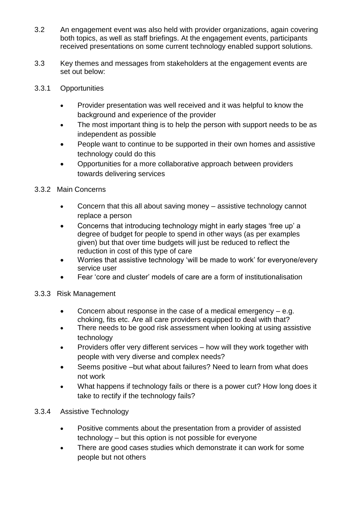- 3.2 An engagement event was also held with provider organizations, again covering both topics, as well as staff briefings. At the engagement events, participants received presentations on some current technology enabled support solutions.
- 3.3 Key themes and messages from stakeholders at the engagement events are set out below:
- 3.3.1 Opportunities
	- Provider presentation was well received and it was helpful to know the background and experience of the provider
	- The most important thing is to help the person with support needs to be as independent as possible
	- People want to continue to be supported in their own homes and assistive technology could do this
	- Opportunities for a more collaborative approach between providers towards delivering services
- 3.3.2 Main Concerns
	- Concern that this all about saving money assistive technology cannot replace a person
	- Concerns that introducing technology might in early stages 'free up' a degree of budget for people to spend in other ways (as per examples given) but that over time budgets will just be reduced to reflect the reduction in cost of this type of care
	- Worries that assistive technology 'will be made to work' for everyone/every service user
	- Fear 'core and cluster' models of care are a form of institutionalisation
- 3.3.3 Risk Management
	- Concern about response in the case of a medical emergency e.g. choking, fits etc. Are all care providers equipped to deal with that?
	- There needs to be good risk assessment when looking at using assistive technology
	- Providers offer very different services how will they work together with people with very diverse and complex needs?
	- Seems positive –but what about failures? Need to learn from what does not work
	- What happens if technology fails or there is a power cut? How long does it take to rectify if the technology fails?
- 3.3.4 Assistive Technology
	- Positive comments about the presentation from a provider of assisted technology – but this option is not possible for everyone
	- There are good cases studies which demonstrate it can work for some people but not others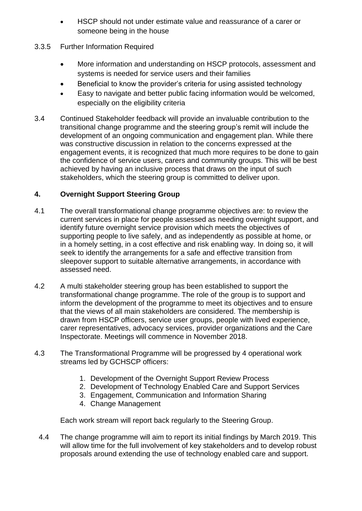- HSCP should not under estimate value and reassurance of a carer or someone being in the house
- 3.3.5 Further Information Required
	- More information and understanding on HSCP protocols, assessment and systems is needed for service users and their families
	- Beneficial to know the provider's criteria for using assisted technology
	- Easy to navigate and better public facing information would be welcomed, especially on the eligibility criteria
- 3.4 Continued Stakeholder feedback will provide an invaluable contribution to the transitional change programme and the steering group's remit will include the development of an ongoing communication and engagement plan. While there was constructive discussion in relation to the concerns expressed at the engagement events, it is recognized that much more requires to be done to gain the confidence of service users, carers and community groups. This will be best achieved by having an inclusive process that draws on the input of such stakeholders, which the steering group is committed to deliver upon.

# **4. Overnight Support Steering Group**

- 4.1 The overall transformational change programme objectives are: to review the current services in place for people assessed as needing overnight support, and identify future overnight service provision which meets the objectives of supporting people to live safely, and as independently as possible at home, or in a homely setting, in a cost effective and risk enabling way. In doing so, it will seek to identify the arrangements for a safe and effective transition from sleepover support to suitable alternative arrangements, in accordance with assessed need.
- 4.2 A multi stakeholder steering group has been established to support the transformational change programme. The role of the group is to support and inform the development of the programme to meet its objectives and to ensure that the views of all main stakeholders are considered. The membership is drawn from HSCP officers, service user groups, people with lived experience, carer representatives, advocacy services, provider organizations and the Care Inspectorate. Meetings will commence in November 2018.
- 4.3 The Transformational Programme will be progressed by 4 operational work streams led by GCHSCP officers:
	- 1. Development of the Overnight Support Review Process
	- 2. Development of Technology Enabled Care and Support Services
	- 3. Engagement, Communication and Information Sharing
	- 4. Change Management

Each work stream will report back regularly to the Steering Group.

4.4 The change programme will aim to report its initial findings by March 2019. This will allow time for the full involvement of key stakeholders and to develop robust proposals around extending the use of technology enabled care and support.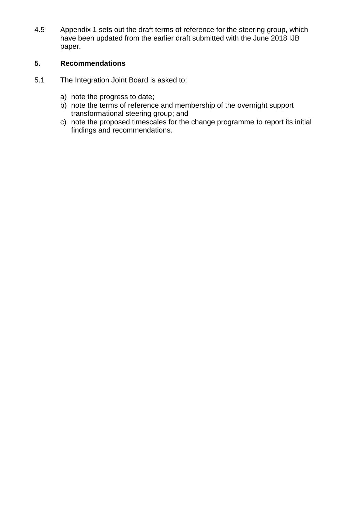4.5 Appendix 1 sets out the draft terms of reference for the steering group, which have been updated from the earlier draft submitted with the June 2018 IJB paper.

#### **5. Recommendations**

- 5.1 The Integration Joint Board is asked to:
	- a) note the progress to date;
	- b) note the terms of reference and membership of the overnight support transformational steering group; and
	- c) note the proposed timescales for the change programme to report its initial findings and recommendations.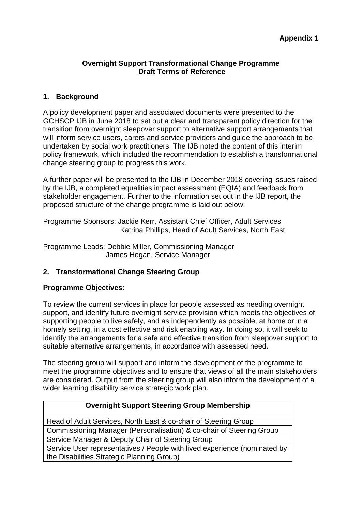#### **Overnight Support Transformational Change Programme Draft Terms of Reference**

#### **1. Background**

A policy development paper and associated documents were presented to the GCHSCP IJB in June 2018 to set out a clear and transparent policy direction for the transition from overnight sleepover support to alternative support arrangements that will inform service users, carers and service providers and guide the approach to be undertaken by social work practitioners. The IJB noted the content of this interim policy framework, which included the recommendation to establish a transformational change steering group to progress this work.

A further paper will be presented to the IJB in December 2018 covering issues raised by the IJB, a completed equalities impact assessment (EQIA) and feedback from stakeholder engagement. Further to the information set out in the IJB report, the proposed structure of the change programme is laid out below:

Programme Sponsors: Jackie Kerr, Assistant Chief Officer, Adult Services Katrina Phillips, Head of Adult Services, North East

Programme Leads: Debbie Miller, Commissioning Manager James Hogan, Service Manager

## **2. Transformational Change Steering Group**

#### **Programme Objectives:**

To review the current services in place for people assessed as needing overnight support, and identify future overnight service provision which meets the objectives of supporting people to live safely, and as independently as possible, at home or in a homely setting, in a cost effective and risk enabling way. In doing so, it will seek to identify the arrangements for a safe and effective transition from sleepover support to suitable alternative arrangements, in accordance with assessed need.

The steering group will support and inform the development of the programme to meet the programme objectives and to ensure that views of all the main stakeholders are considered. Output from the steering group will also inform the development of a wider learning disability service strategic work plan.

| <b>Overnight Support Steering Group Membership</b>                        |  |
|---------------------------------------------------------------------------|--|
| Head of Adult Services, North East & co-chair of Steering Group           |  |
| Commissioning Manager (Personalisation) & co-chair of Steering Group      |  |
| Service Manager & Deputy Chair of Steering Group                          |  |
| Service User representatives / People with lived experience (nominated by |  |
| the Disabilities Strategic Planning Group)                                |  |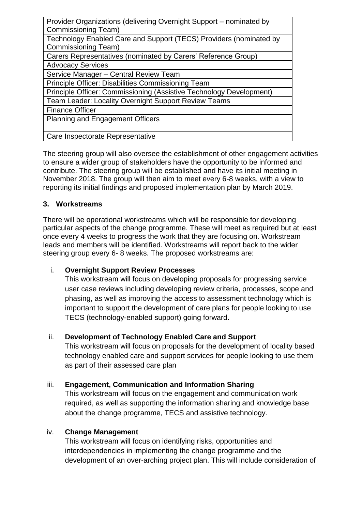| Provider Organizations (delivering Overnight Support – nominated by |
|---------------------------------------------------------------------|
| Commissioning Team)                                                 |
| Technology Enabled Care and Support (TECS) Providers (nominated by  |
| Commissioning Team)                                                 |
| Carers Representatives (nominated by Carers' Reference Group)       |
| <b>Advocacy Services</b>                                            |
| Service Manager - Central Review Team                               |
| Principle Officer: Disabilities Commissioning Team                  |
| Principle Officer: Commissioning (Assistive Technology Development) |
| <b>Team Leader: Locality Overnight Support Review Teams</b>         |
| <b>Finance Officer</b>                                              |
| <b>Planning and Engagement Officers</b>                             |
|                                                                     |
| Care Inspectorate Representative                                    |
|                                                                     |

The steering group will also oversee the establishment of other engagement activities to ensure a wider group of stakeholders have the opportunity to be informed and contribute. The steering group will be established and have its initial meeting in November 2018. The group will then aim to meet every 6-8 weeks, with a view to reporting its initial findings and proposed implementation plan by March 2019.

## **3. Workstreams**

There will be operational workstreams which will be responsible for developing particular aspects of the change programme. These will meet as required but at least once every 4 weeks to progress the work that they are focusing on. Workstream leads and members will be identified. Workstreams will report back to the wider steering group every 6- 8 weeks. The proposed workstreams are:

## i. **Overnight Support Review Processes**

This workstream will focus on developing proposals for progressing service user case reviews including developing review criteria, processes, scope and phasing, as well as improving the access to assessment technology which is important to support the development of care plans for people looking to use TECS (technology-enabled support) going forward.

## ii. **Development of Technology Enabled Care and Support**

This workstream will focus on proposals for the development of locality based technology enabled care and support services for people looking to use them as part of their assessed care plan

## iii. **Engagement, Communication and Information Sharing**

This workstream will focus on the engagement and communication work required, as well as supporting the information sharing and knowledge base about the change programme, TECS and assistive technology.

#### iv. **Change Management**

This workstream will focus on identifying risks, opportunities and interdependencies in implementing the change programme and the development of an over-arching project plan. This will include consideration of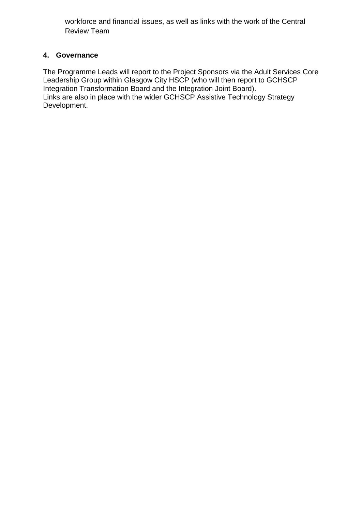workforce and financial issues, as well as links with the work of the Central Review Team

## **4. Governance**

The Programme Leads will report to the Project Sponsors via the Adult Services Core Leadership Group within Glasgow City HSCP (who will then report to GCHSCP Integration Transformation Board and the Integration Joint Board). Links are also in place with the wider GCHSCP Assistive Technology Strategy Development.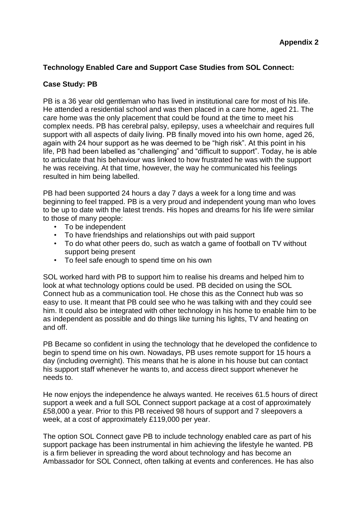# **Technology Enabled Care and Support Case Studies from SOL Connect:**

#### **Case Study: PB**

PB is a 36 year old gentleman who has lived in institutional care for most of his life. He attended a residential school and was then placed in a care home, aged 21. The care home was the only placement that could be found at the time to meet his complex needs. PB has cerebral palsy, epilepsy, uses a wheelchair and requires full support with all aspects of daily living. PB finally moved into his own home, aged 26, again with 24 hour support as he was deemed to be "high risk". At this point in his life, PB had been labelled as "challenging" and "difficult to support". Today, he is able to articulate that his behaviour was linked to how frustrated he was with the support he was receiving. At that time, however, the way he communicated his feelings resulted in him being labelled.

PB had been supported 24 hours a day 7 days a week for a long time and was beginning to feel trapped. PB is a very proud and independent young man who loves to be up to date with the latest trends. His hopes and dreams for his life were similar to those of many people:

- To be independent
- To have friendships and relationships out with paid support
- To do what other peers do, such as watch a game of football on TV without support being present
- To feel safe enough to spend time on his own

SOL worked hard with PB to support him to realise his dreams and helped him to look at what technology options could be used. PB decided on using the SOL Connect hub as a communication tool. He chose this as the Connect hub was so easy to use. It meant that PB could see who he was talking with and they could see him. It could also be integrated with other technology in his home to enable him to be as independent as possible and do things like turning his lights, TV and heating on and off.

PB Became so confident in using the technology that he developed the confidence to begin to spend time on his own. Nowadays, PB uses remote support for 15 hours a day (including overnight). This means that he is alone in his house but can contact his support staff whenever he wants to, and access direct support whenever he needs to.

He now enjoys the independence he always wanted. He receives 61.5 hours of direct support a week and a full SOL Connect support package at a cost of approximately £58,000 a year. Prior to this PB received 98 hours of support and 7 sleepovers a week, at a cost of approximately £119,000 per year.

The option SOL Connect gave PB to include technology enabled care as part of his support package has been instrumental in him achieving the lifestyle he wanted. PB is a firm believer in spreading the word about technology and has become an Ambassador for SOL Connect, often talking at events and conferences. He has also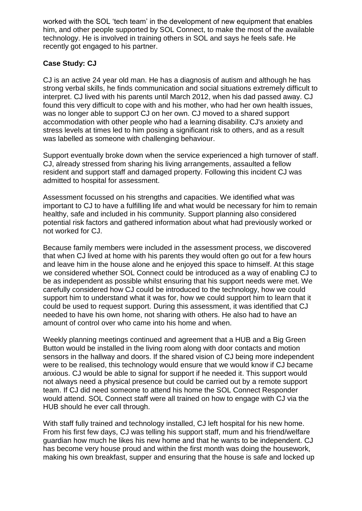worked with the SOL 'tech team' in the development of new equipment that enables him, and other people supported by SOL Connect, to make the most of the available technology. He is involved in training others in SOL and says he feels safe. He recently got engaged to his partner.

# **Case Study: CJ**

CJ is an active 24 year old man. He has a diagnosis of autism and although he has strong verbal skills, he finds communication and social situations extremely difficult to interpret. CJ lived with his parents until March 2012, when his dad passed away. CJ found this very difficult to cope with and his mother, who had her own health issues, was no longer able to support CJ on her own. CJ moved to a shared support accommodation with other people who had a learning disability. CJ's anxiety and stress levels at times led to him posing a significant risk to others, and as a result was labelled as someone with challenging behaviour.

Support eventually broke down when the service experienced a high turnover of staff. CJ, already stressed from sharing his living arrangements, assaulted a fellow resident and support staff and damaged property. Following this incident CJ was admitted to hospital for assessment.

Assessment focussed on his strengths and capacities. We identified what was important to CJ to have a fulfilling life and what would be necessary for him to remain healthy, safe and included in his community. Support planning also considered potential risk factors and gathered information about what had previously worked or not worked for CJ.

Because family members were included in the assessment process, we discovered that when CJ lived at home with his parents they would often go out for a few hours and leave him in the house alone and he enjoyed this space to himself. At this stage we considered whether SOL Connect could be introduced as a way of enabling CJ to be as independent as possible whilst ensuring that his support needs were met. We carefully considered how CJ could be introduced to the technology, how we could support him to understand what it was for, how we could support him to learn that it could be used to request support. During this assessment, it was identified that CJ needed to have his own home, not sharing with others. He also had to have an amount of control over who came into his home and when.

Weekly planning meetings continued and agreement that a HUB and a Big Green Button would be installed in the living room along with door contacts and motion sensors in the hallway and doors. If the shared vision of CJ being more independent were to be realised, this technology would ensure that we would know if CJ became anxious. CJ would be able to signal for support if he needed it. This support would not always need a physical presence but could be carried out by a remote support team. If CJ did need someone to attend his home the SOL Connect Responder would attend. SOL Connect staff were all trained on how to engage with CJ via the HUB should he ever call through.

With staff fully trained and technology installed, CJ left hospital for his new home. From his first few days, CJ was telling his support staff, mum and his friend/welfare guardian how much he likes his new home and that he wants to be independent. CJ has become very house proud and within the first month was doing the housework, making his own breakfast, supper and ensuring that the house is safe and locked up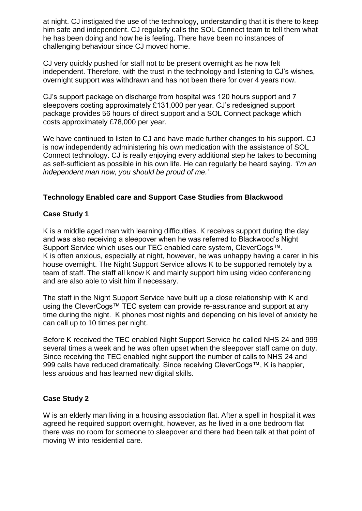at night. CJ instigated the use of the technology, understanding that it is there to keep him safe and independent. CJ regularly calls the SOL Connect team to tell them what he has been doing and how he is feeling. There have been no instances of challenging behaviour since CJ moved home.

CJ very quickly pushed for staff not to be present overnight as he now felt independent. Therefore, with the trust in the technology and listening to CJ's wishes, overnight support was withdrawn and has not been there for over 4 years now.

CJ's support package on discharge from hospital was 120 hours support and 7 sleepovers costing approximately £131,000 per year. CJ's redesigned support package provides 56 hours of direct support and a SOL Connect package which costs approximately £78,000 per year.

We have continued to listen to CJ and have made further changes to his support. CJ is now independently administering his own medication with the assistance of SOL Connect technology. CJ is really enjoying every additional step he takes to becoming as self-sufficient as possible in his own life. He can regularly be heard saying. *'I'm an independent man now, you should be proud of me.'*

## **Technology Enabled care and Support Case Studies from Blackwood**

## **Case Study 1**

K is a middle aged man with learning difficulties. K receives support during the day and was also receiving a sleepover when he was referred to Blackwood's Night Support Service which uses our TEC enabled care system, CleverCogs™. K is often anxious, especially at night, however, he was unhappy having a carer in his house overnight. The Night Support Service allows K to be supported remotely by a team of staff. The staff all know K and mainly support him using video conferencing and are also able to visit him if necessary.

The staff in the Night Support Service have built up a close relationship with K and using the CleverCogs™ TEC system can provide re-assurance and support at any time during the night. K phones most nights and depending on his level of anxiety he can call up to 10 times per night.

Before K received the TEC enabled Night Support Service he called NHS 24 and 999 several times a week and he was often upset when the sleepover staff came on duty. Since receiving the TEC enabled night support the number of calls to NHS 24 and 999 calls have reduced dramatically. Since receiving CleverCogs™, K is happier, less anxious and has learned new digital skills.

# **Case Study 2**

W is an elderly man living in a housing association flat. After a spell in hospital it was agreed he required support overnight, however, as he lived in a one bedroom flat there was no room for someone to sleepover and there had been talk at that point of moving W into residential care.